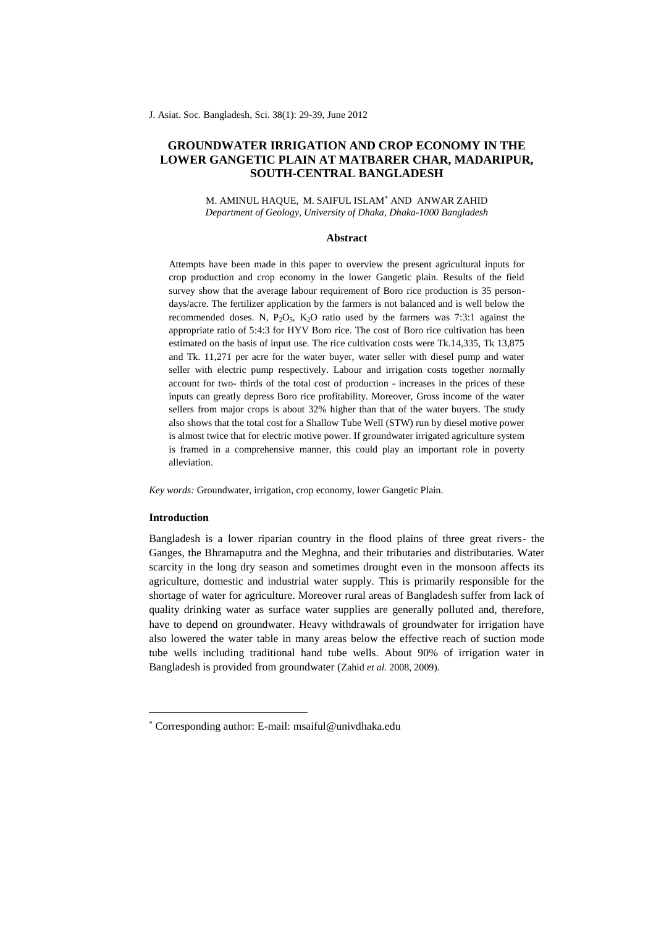# **GROUNDWATER IRRIGATION AND CROP ECONOMY IN THE LOWER GANGETIC PLAIN AT MATBARER CHAR, MADARIPUR, SOUTH-CENTRAL BANGLADESH**

# M. AMINUL HAQUE, M. SAIFUL ISLAM<sup>\*</sup> AND ANWAR ZAHID *Department of Geology, University of Dhaka, Dhaka-1000 Bangladesh*

## **Abstract**

Attempts have been made in this paper to overview the present agricultural inputs for crop production and crop economy in the lower Gangetic plain. Results of the field survey show that the average labour requirement of Boro rice production is 35 persondays/acre. The fertilizer application by the farmers is not balanced and is well below the recommended doses. N,  $P_2O_5$ ,  $K_2O$  ratio used by the farmers was 7:3:1 against the appropriate ratio of 5:4:3 for HYV Boro rice. The cost of Boro rice cultivation has been estimated on the basis of input use. The rice cultivation costs were Tk.14,335, Tk 13,875 and Tk. 11,271 per acre for the water buyer, water seller with diesel pump and water seller with electric pump respectively. Labour and irrigation costs together normally account for two- thirds of the total cost of production - increases in the prices of these inputs can greatly depress Boro rice profitability. Moreover, Gross income of the water sellers from major crops is about 32% higher than that of the water buyers. The study also shows that the total cost for a Shallow Tube Well (STW) run by diesel motive power is almost twice that for electric motive power. If groundwater irrigated agriculture system is framed in a comprehensive manner, this could play an important role in poverty alleviation.

*Key words:* Groundwater, irrigation, crop economy, lower Gangetic Plain.

## **Introduction**

1

Bangladesh is a lower riparian country in the flood plains of three great rivers- the Ganges, the Bhramaputra and the Meghna, and their tributaries and distributaries. Water scarcity in the long dry season and sometimes drought even in the monsoon affects its agriculture, domestic and industrial water supply. This is primarily responsible for the shortage of water for agriculture. Moreover rural areas of Bangladesh suffer from lack of quality drinking water as surface water supplies are generally polluted and, therefore, have to depend on groundwater. Heavy withdrawals of groundwater for irrigation have also lowered the water table in many areas below the effective reach of suction mode tube wells including traditional hand tube wells. About 90% of irrigation water in Bangladesh is provided from groundwater (Zahid *et al.* 2008, 2009).

Corresponding author: E-mail: msaiful@univdhaka.edu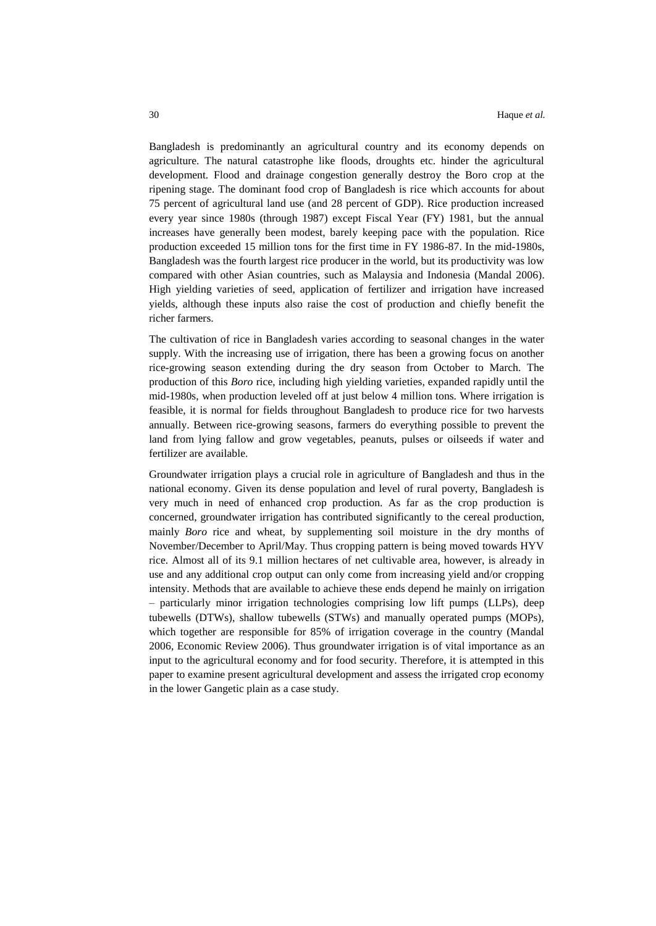Bangladesh is predominantly an agricultural country and its economy depends on agriculture. The natural catastrophe like floods, droughts etc. hinder the agricultural development. Flood and drainage congestion generally destroy the Boro crop at the ripening stage. The dominant food crop of Bangladesh is rice which accounts for about 75 percent of agricultural land use (and 28 percent of GDP). Rice production increased every year since 1980s (through 1987) except Fiscal Year (FY) 1981, but the annual increases have generally been modest, barely keeping pace with the population. Rice production exceeded 15 million tons for the first time in FY 1986-87. In the mid-1980s, Bangladesh was the fourth largest rice producer in the world, but its productivity was low compared with other Asian countries, such as Malaysia and Indonesia (Mandal 2006). High yielding varieties of seed, application of fertilizer and irrigation have increased yields, although these inputs also raise the cost of production and chiefly benefit the richer farmers.

The cultivation of rice in Bangladesh varies according to seasonal changes in the water supply. With the increasing use of irrigation, there has been a growing focus on another rice-growing season extending during the dry season from October to March. The production of this *Boro* rice, including high yielding varieties, expanded rapidly until the mid-1980s, when production leveled off at just below 4 million tons. Where irrigation is feasible, it is normal for fields throughout Bangladesh to produce rice for two harvests annually. Between rice-growing seasons, farmers do everything possible to prevent the land from lying fallow and grow vegetables, peanuts, pulses or oilseeds if water and fertilizer are available.

Groundwater irrigation plays a crucial role in agriculture of Bangladesh and thus in the national economy. Given its dense population and level of rural poverty, Bangladesh is very much in need of enhanced crop production. As far as the crop production is concerned, groundwater irrigation has contributed significantly to the cereal production, mainly *Boro* rice and wheat, by supplementing soil moisture in the dry months of November/December to April/May. Thus cropping pattern is being moved towards HYV rice. Almost all of its 9.1 million hectares of net cultivable area, however, is already in use and any additional crop output can only come from increasing yield and/or cropping intensity. Methods that are available to achieve these ends depend he mainly on irrigation – particularly minor irrigation technologies comprising low lift pumps (LLPs), deep tubewells (DTWs), shallow tubewells (STWs) and manually operated pumps (MOPs), which together are responsible for 85% of irrigation coverage in the country (Mandal 2006, Economic Review 2006). Thus groundwater irrigation is of vital importance as an input to the agricultural economy and for food security. Therefore, it is attempted in this paper to examine present agricultural development and assess the irrigated crop economy in the lower Gangetic plain as a case study.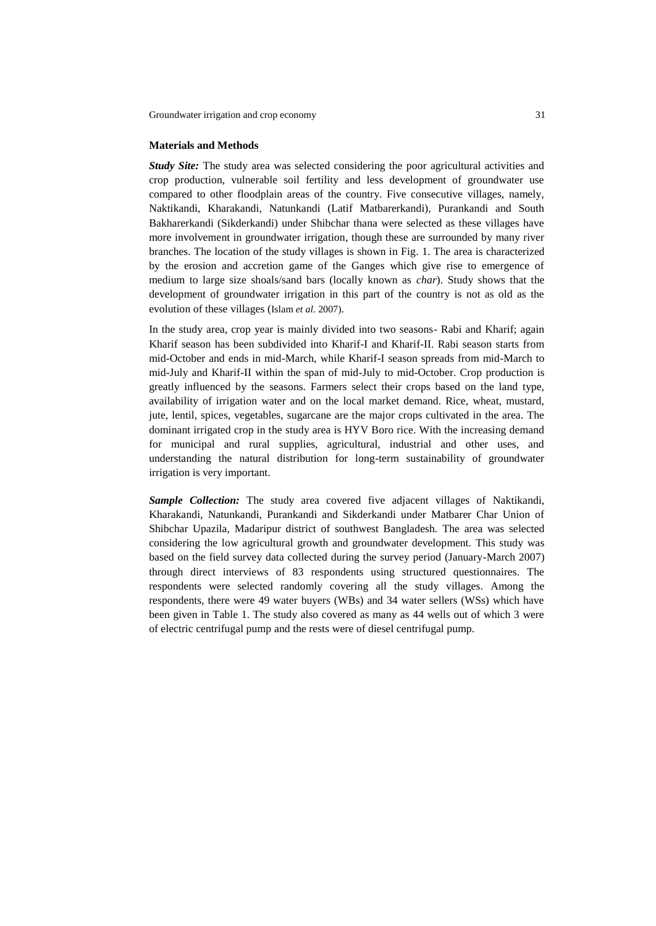Groundwater irrigation and crop economy 31

## **Materials and Methods**

*Study Site:* The study area was selected considering the poor agricultural activities and crop production, vulnerable soil fertility and less development of groundwater use compared to other floodplain areas of the country. Five consecutive villages, namely, Naktikandi, Kharakandi, Natunkandi (Latif Matbarerkandi), Purankandi and South Bakharerkandi (Sikderkandi) under Shibchar thana were selected as these villages have more involvement in groundwater irrigation, though these are surrounded by many river branches. The location of the study villages is shown in Fig. 1. The area is characterized by the erosion and accretion game of the Ganges which give rise to emergence of medium to large size shoals/sand bars (locally known as *char*). Study shows that the development of groundwater irrigation in this part of the country is not as old as the evolution of these villages (Islam *et al.* 2007).

In the study area, crop year is mainly divided into two seasons- Rabi and Kharif; again Kharif season has been subdivided into Kharif-I and Kharif-II. Rabi season starts from mid-October and ends in mid-March, while Kharif-I season spreads from mid-March to mid-July and Kharif-II within the span of mid-July to mid-October. Crop production is greatly influenced by the seasons. Farmers select their crops based on the land type, availability of irrigation water and on the local market demand. Rice, wheat, mustard, jute, lentil, spices, vegetables, sugarcane are the major crops cultivated in the area. The dominant irrigated crop in the study area is HYV Boro rice. With the increasing demand for municipal and rural supplies, agricultural, industrial and other uses, and understanding the natural distribution for long-term sustainability of groundwater irrigation is very important.

*Sample Collection:* The study area covered five adjacent villages of Naktikandi, Kharakandi, Natunkandi, Purankandi and Sikderkandi under Matbarer Char Union of Shibchar Upazila, Madaripur district of southwest Bangladesh. The area was selected considering the low agricultural growth and groundwater development. This study was based on the field survey data collected during the survey period (January-March 2007) through direct interviews of 83 respondents using structured questionnaires. The respondents were selected randomly covering all the study villages. Among the respondents, there were 49 water buyers (WBs) and 34 water sellers (WSs) which have been given in Table 1. The study also covered as many as 44 wells out of which 3 were of electric centrifugal pump and the rests were of diesel centrifugal pump.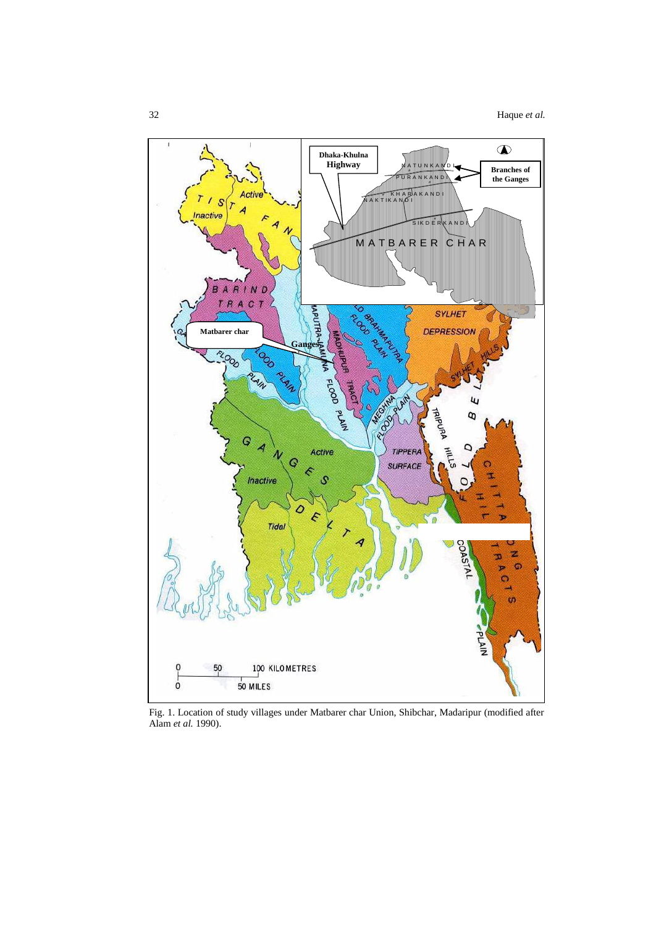

Fig. 1. Location of study villages under Matbarer char Union, Shibchar, Madaripur (modified after Alam *et al.* 1990).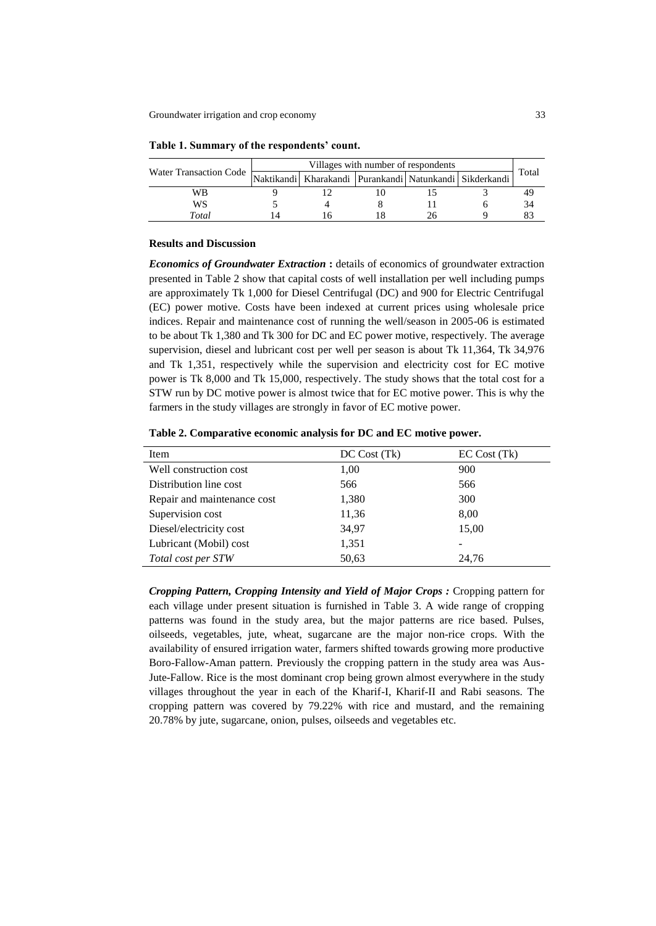Groundwater irrigation and crop economy 33

| Table 1. Summary of the respondents' count. |  |  |  |
|---------------------------------------------|--|--|--|
|---------------------------------------------|--|--|--|

|                        | Villages with number of respondents |  |  |    |                                                         |       |
|------------------------|-------------------------------------|--|--|----|---------------------------------------------------------|-------|
| Water Transaction Code |                                     |  |  |    | Naktikandi Kharakandi Purankandi Natunkandi Sikderkandi | Total |
| WВ                     |                                     |  |  |    |                                                         | 49    |
| WS                     |                                     |  |  |    |                                                         | 34    |
| Total                  |                                     |  |  | ٥. |                                                         |       |

#### **Results and Discussion**

*Economics of Groundwater Extraction* **:** details of economics of groundwater extraction presented in Table 2 show that capital costs of well installation per well including pumps are approximately Tk 1,000 for Diesel Centrifugal (DC) and 900 for Electric Centrifugal (EC) power motive. Costs have been indexed at current prices using wholesale price indices. Repair and maintenance cost of running the well/season in 2005-06 is estimated to be about Tk 1,380 and Tk 300 for DC and EC power motive, respectively. The average supervision, diesel and lubricant cost per well per season is about Tk 11,364, Tk 34,976 and Tk 1,351, respectively while the supervision and electricity cost for EC motive power is Tk 8,000 and Tk 15,000, respectively. The study shows that the total cost for a STW run by DC motive power is almost twice that for EC motive power. This is why the farmers in the study villages are strongly in favor of EC motive power.

**Table 2. Comparative economic analysis for DC and EC motive power.**

| Item                        | DC Cost (Tk) | $EC$ Cost $(Tk)$ |
|-----------------------------|--------------|------------------|
| Well construction cost      | 1,00         | 900              |
| Distribution line cost      | 566          | 566              |
| Repair and maintenance cost | 1,380        | 300              |
| Supervision cost            | 11,36        | 8,00             |
| Diesel/electricity cost     | 34,97        | 15,00            |
| Lubricant (Mobil) cost      | 1,351        | -                |
| Total cost per STW          | 50,63        | 24,76            |

*Cropping Pattern, Cropping Intensity and Yield of Major Crops :* Cropping pattern for each village under present situation is furnished in Table 3. A wide range of cropping patterns was found in the study area, but the major patterns are rice based. Pulses, oilseeds, vegetables, jute, wheat, sugarcane are the major non-rice crops. With the availability of ensured irrigation water, farmers shifted towards growing more productive Boro-Fallow-Aman pattern. Previously the cropping pattern in the study area was Aus-Jute-Fallow. Rice is the most dominant crop being grown almost everywhere in the study villages throughout the year in each of the Kharif-I, Kharif-II and Rabi seasons. The cropping pattern was covered by 79.22% with rice and mustard, and the remaining 20.78% by jute, sugarcane, onion, pulses, oilseeds and vegetables etc.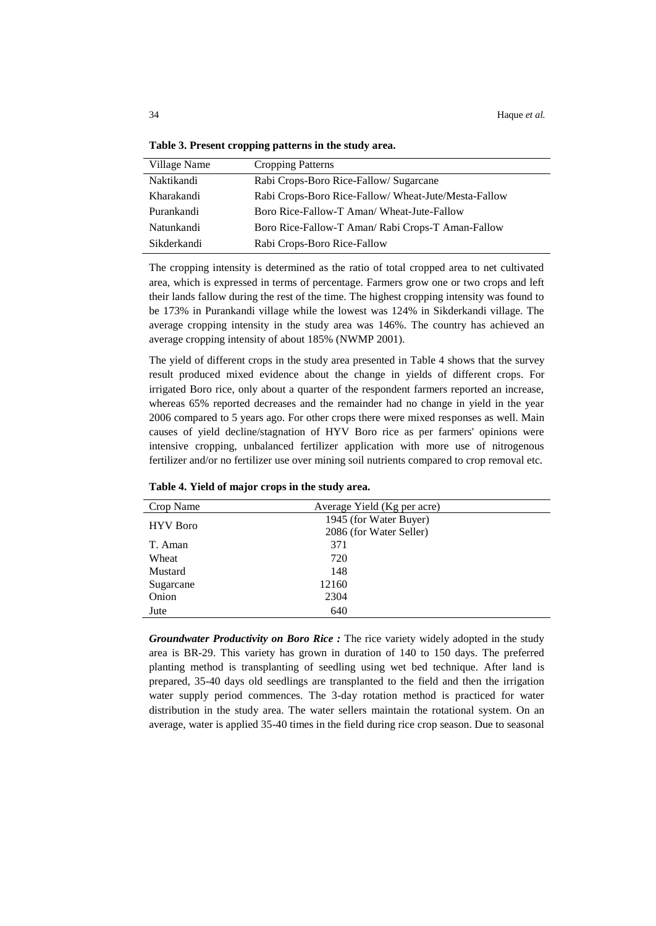| Village Name | <b>Cropping Patterns</b>                            |
|--------------|-----------------------------------------------------|
| Naktikandi   | Rabi Crops-Boro Rice-Fallow/ Sugarcane              |
| Kharakandi   | Rabi Crops-Boro Rice-Fallow/Wheat-Jute/Mesta-Fallow |
| Purankandi   | Boro Rice-Fallow-T Aman/ Wheat-Jute-Fallow          |
| Natunkandi   | Boro Rice-Fallow-T Aman/ Rabi Crops-T Aman-Fallow   |
| Sikderkandi  | Rabi Crops-Boro Rice-Fallow                         |

| Table 3. Present cropping patterns in the study area. |  |  |  |  |  |  |  |  |
|-------------------------------------------------------|--|--|--|--|--|--|--|--|
|-------------------------------------------------------|--|--|--|--|--|--|--|--|

The cropping intensity is determined as the ratio of total cropped area to net cultivated area, which is expressed in terms of percentage. Farmers grow one or two crops and left their lands fallow during the rest of the time. The highest cropping intensity was found to be 173% in Purankandi village while the lowest was 124% in Sikderkandi village. The average cropping intensity in the study area was 146%. The country has achieved an average cropping intensity of about 185% (NWMP 2001).

The yield of different crops in the study area presented in Table 4 shows that the survey result produced mixed evidence about the change in yields of different crops. For irrigated Boro rice, only about a quarter of the respondent farmers reported an increase, whereas 65% reported decreases and the remainder had no change in yield in the year 2006 compared to 5 years ago. For other crops there were mixed responses as well. Main causes of yield decline/stagnation of HYV Boro rice as per farmers' opinions were intensive cropping, unbalanced fertilizer application with more use of nitrogenous fertilizer and/or no fertilizer use over mining soil nutrients compared to crop removal etc.

| Crop Name       | Average Yield (Kg per acre) |  |
|-----------------|-----------------------------|--|
| <b>HYV</b> Boro | 1945 (for Water Buyer)      |  |
|                 | 2086 (for Water Seller)     |  |
| T. Aman         | 371                         |  |
| Wheat           | 720                         |  |
| Mustard         | 148                         |  |
| Sugarcane       | 12160                       |  |
| Onion           | 2304                        |  |
| Jute            | 640                         |  |

**Table 4. Yield of major crops in the study area.**

*Groundwater Productivity on Boro Rice :* The rice variety widely adopted in the study area is BR-29. This variety has grown in duration of 140 to 150 days. The preferred planting method is transplanting of seedling using wet bed technique. After land is prepared, 35-40 days old seedlings are transplanted to the field and then the irrigation water supply period commences. The 3-day rotation method is practiced for water distribution in the study area. The water sellers maintain the rotational system. On an average, water is applied 35-40 times in the field during rice crop season. Due to seasonal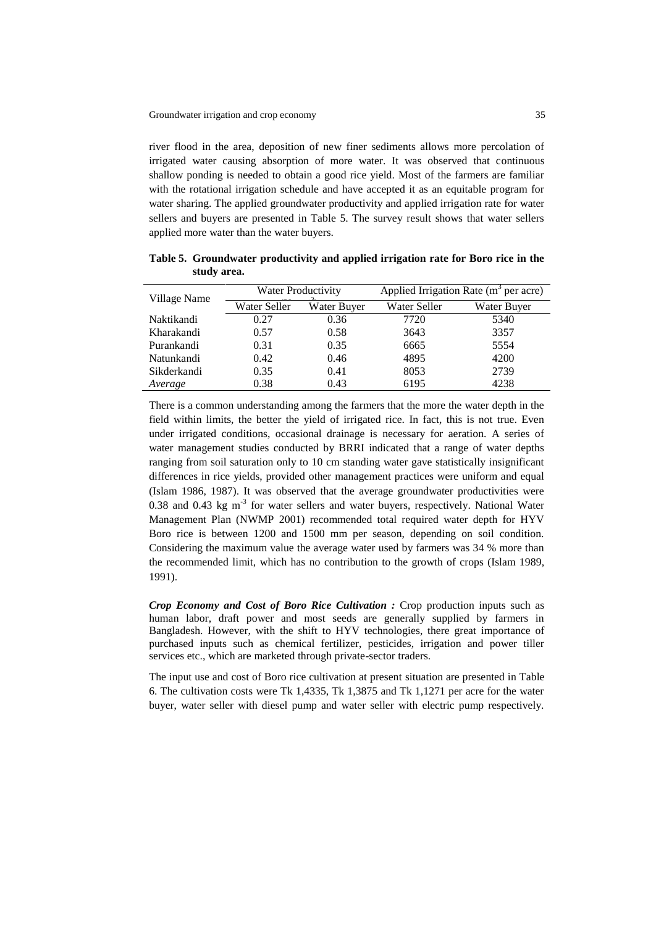river flood in the area, deposition of new finer sediments allows more percolation of irrigated water causing absorption of more water. It was observed that continuous shallow ponding is needed to obtain a good rice yield. Most of the farmers are familiar with the rotational irrigation schedule and have accepted it as an equitable program for water sharing. The applied groundwater productivity and applied irrigation rate for water sellers and buyers are presented in Table 5. The survey result shows that water sellers applied more water than the water buyers.

Village Name Water Productivity Water Seller ) Water Seller Water Buyer Water Seller Water Buyer Applied Irrigation Rate  $(m<sup>3</sup>$  per acre) Naktikandi 0.27 0.36 7720 5340 Kharakandi 0.57 0.58 3643 3357 Purankandi 0.31 0.35 6665 5554 Natunkandi 0.42 0.46 4895 4200 Sikderkandi 0.35 0.41 8053 2739

*Average* 0.38 0.43 6195 4238

**Table 5. Groundwater productivity and applied irrigation rate for Boro rice in the study area.**

There is a common understanding among the farmers that the more the water depth in the field within limits, the better the yield of irrigated rice. In fact, this is not true. Even under irrigated conditions, occasional drainage is necessary for aeration. A series of water management studies conducted by BRRI indicated that a range of water depths ranging from soil saturation only to 10 cm standing water gave statistically insignificant differences in rice yields, provided other management practices were uniform and equal (Islam 1986, 1987). It was observed that the average groundwater productivities were  $0.38$  and  $0.43$  kg m<sup>-3</sup> for water sellers and water buyers, respectively. National Water Management Plan (NWMP 2001) recommended total required water depth for HYV Boro rice is between 1200 and 1500 mm per season, depending on soil condition. Considering the maximum value the average water used by farmers was 34 % more than the recommended limit, which has no contribution to the growth of crops (Islam 1989, 1991).

*Crop Economy and Cost of Boro Rice Cultivation :* Crop production inputs such as human labor, draft power and most seeds are generally supplied by farmers in Bangladesh. However, with the shift to HYV technologies, there great importance of purchased inputs such as chemical fertilizer, pesticides, irrigation and power tiller services etc., which are marketed through private-sector traders.

The input use and cost of Boro rice cultivation at present situation are presented in Table 6. The cultivation costs were Tk 1,4335, Tk 1,3875 and Tk 1,1271 per acre for the water buyer, water seller with diesel pump and water seller with electric pump respectively.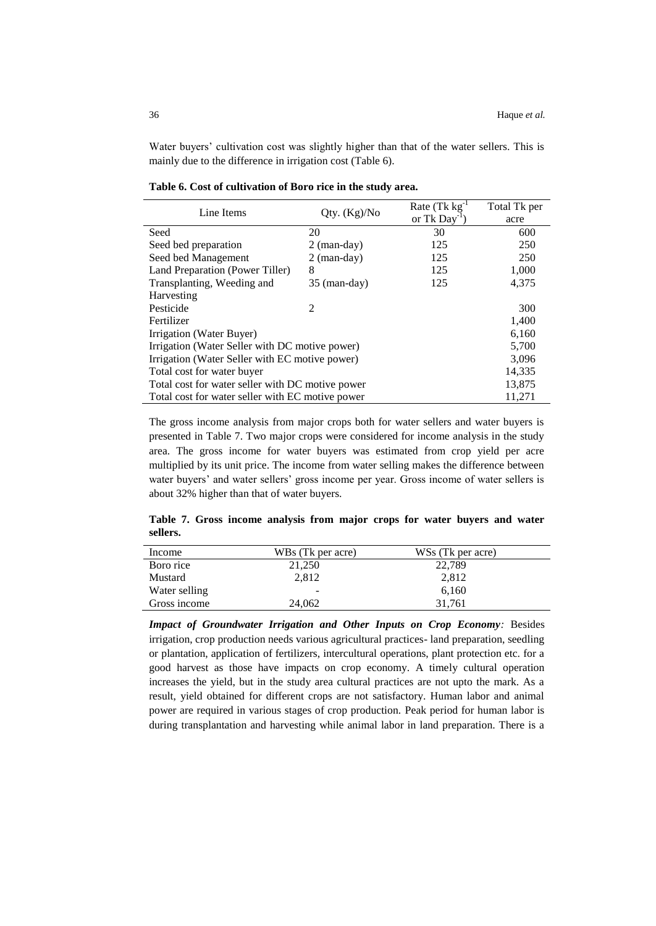Water buyers' cultivation cost was slightly higher than that of the water sellers. This is mainly due to the difference in irrigation cost (Table 6).

| Line Items                                       | Qty. $(Kg)/No$              | Rate $(Tk kg^{-1})$ | Total Tk per |
|--------------------------------------------------|-----------------------------|---------------------|--------------|
|                                                  |                             | or Tk Day           | acre         |
| Seed                                             | 20                          | 30                  | 600          |
| Seed bed preparation                             | $2$ (man-day)               | 125                 | 250          |
| Seed bed Management                              | $2$ (man-day)               | 125                 | 250          |
| Land Preparation (Power Tiller)                  | 8                           | 125                 | 1,000        |
| Transplanting, Weeding and                       | $35 \text{ (man-day)}$      | 125                 | 4,375        |
| Harvesting                                       |                             |                     |              |
| Pesticide                                        | $\mathcal{D}_{\mathcal{L}}$ |                     | 300          |
| Fertilizer                                       |                             |                     | 1,400        |
| Irrigation (Water Buyer)                         |                             | 6,160               |              |
| Irrigation (Water Seller with DC motive power)   |                             | 5,700               |              |
| Irrigation (Water Seller with EC motive power)   |                             | 3,096               |              |
| Total cost for water buyer                       |                             | 14,335              |              |
| Total cost for water seller with DC motive power |                             | 13,875              |              |
| Total cost for water seller with EC motive power |                             | 11,271              |              |

**Table 6. Cost of cultivation of Boro rice in the study area.**

The gross income analysis from major crops both for water sellers and water buyers is presented in Table 7. Two major crops were considered for income analysis in the study area. The gross income for water buyers was estimated from crop yield per acre multiplied by its unit price. The income from water selling makes the difference between water buyers' and water sellers' gross income per year. Gross income of water sellers is about 32% higher than that of water buyers.

**Table 7. Gross income analysis from major crops for water buyers and water sellers.**

| Income        | WBs (Tk per acre) | WSs (Tk per acre) |
|---------------|-------------------|-------------------|
| Boro rice     | 21,250            | 22,789            |
| Mustard       | 2,812             | 2,812             |
| Water selling | -                 | 6.160             |
| Gross income  | 24,062            | 31.761            |

*Impact of Groundwater Irrigation and Other Inputs on Crop Economy:* Besides irrigation, crop production needs various agricultural practices- land preparation, seedling or plantation, application of fertilizers, intercultural operations, plant protection etc. for a good harvest as those have impacts on crop economy. A timely cultural operation increases the yield, but in the study area cultural practices are not upto the mark. As a result, yield obtained for different crops are not satisfactory. Human labor and animal power are required in various stages of crop production. Peak period for human labor is during transplantation and harvesting while animal labor in land preparation. There is a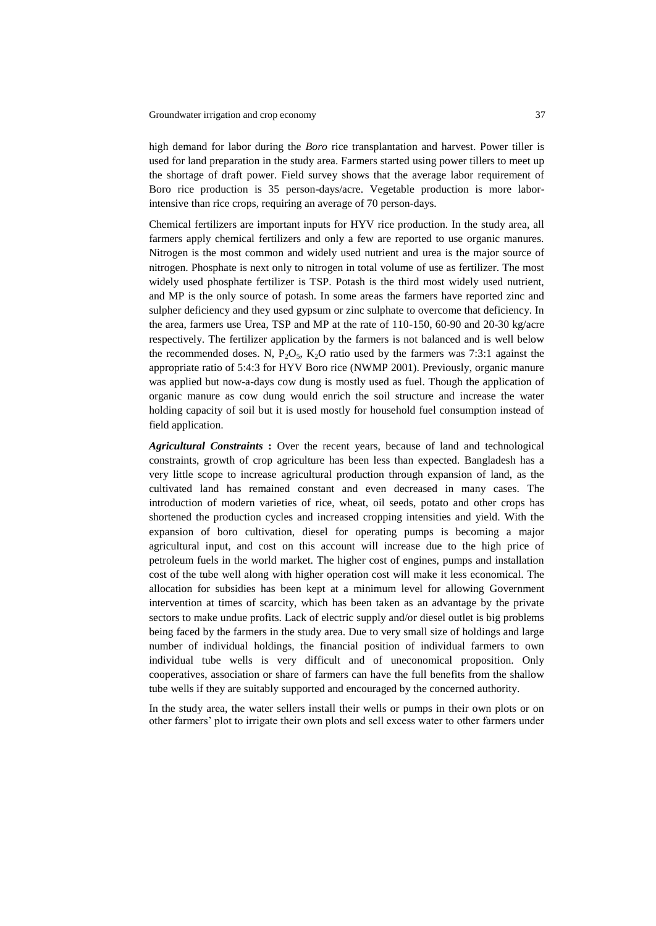high demand for labor during the *Boro* rice transplantation and harvest. Power tiller is used for land preparation in the study area. Farmers started using power tillers to meet up the shortage of draft power. Field survey shows that the average labor requirement of Boro rice production is 35 person-days/acre. Vegetable production is more laborintensive than rice crops, requiring an average of 70 person-days.

Chemical fertilizers are important inputs for HYV rice production. In the study area, all farmers apply chemical fertilizers and only a few are reported to use organic manures. Nitrogen is the most common and widely used nutrient and urea is the major source of nitrogen. Phosphate is next only to nitrogen in total volume of use as fertilizer. The most widely used phosphate fertilizer is TSP. Potash is the third most widely used nutrient, and MP is the only source of potash. In some areas the farmers have reported zinc and sulpher deficiency and they used gypsum or zinc sulphate to overcome that deficiency. In the area, farmers use Urea, TSP and MP at the rate of 110-150, 60-90 and 20-30 kg/acre respectively. The fertilizer application by the farmers is not balanced and is well below the recommended doses. N,  $P_2O_5$ ,  $K_2O$  ratio used by the farmers was 7:3:1 against the appropriate ratio of 5:4:3 for HYV Boro rice (NWMP 2001). Previously, organic manure was applied but now-a-days cow dung is mostly used as fuel. Though the application of organic manure as cow dung would enrich the soil structure and increase the water holding capacity of soil but it is used mostly for household fuel consumption instead of field application.

*Agricultural Constraints* **:** Over the recent years, because of land and technological constraints, growth of crop agriculture has been less than expected. Bangladesh has a very little scope to increase agricultural production through expansion of land, as the cultivated land has remained constant and even decreased in many cases. The introduction of modern varieties of rice, wheat, oil seeds, potato and other crops has shortened the production cycles and increased cropping intensities and yield. With the expansion of boro cultivation, diesel for operating pumps is becoming a major agricultural input, and cost on this account will increase due to the high price of petroleum fuels in the world market. The higher cost of engines, pumps and installation cost of the tube well along with higher operation cost will make it less economical. The allocation for subsidies has been kept at a minimum level for allowing Government intervention at times of scarcity, which has been taken as an advantage by the private sectors to make undue profits. Lack of electric supply and/or diesel outlet is big problems being faced by the farmers in the study area. Due to very small size of holdings and large number of individual holdings, the financial position of individual farmers to own individual tube wells is very difficult and of uneconomical proposition. Only cooperatives, association or share of farmers can have the full benefits from the shallow tube wells if they are suitably supported and encouraged by the concerned authority.

In the study area, the water sellers install their wells or pumps in their own plots or on other farmers' plot to irrigate their own plots and sell excess water to other farmers under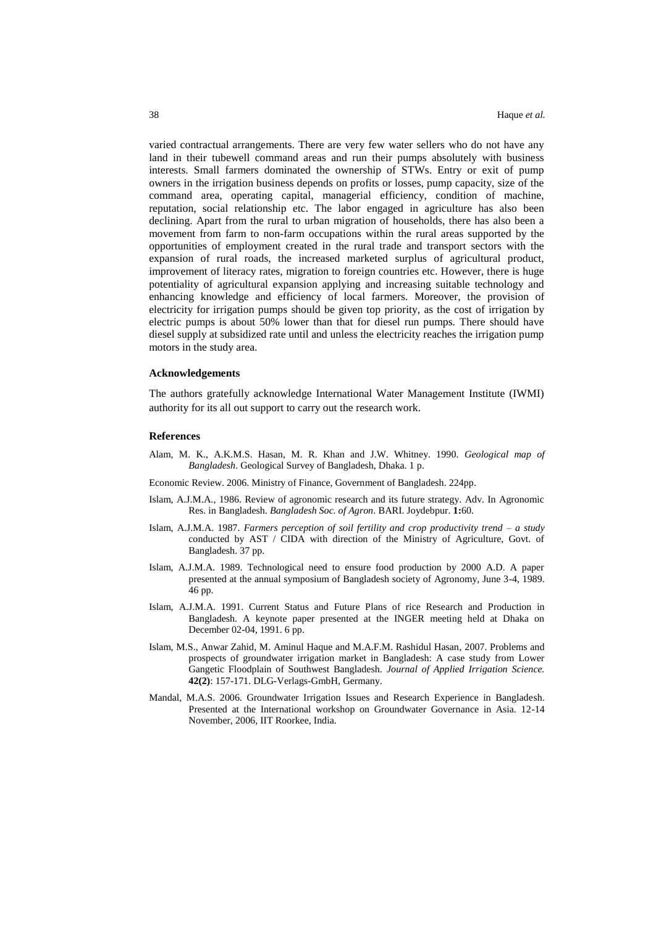varied contractual arrangements. There are very few water sellers who do not have any land in their tubewell command areas and run their pumps absolutely with business interests. Small farmers dominated the ownership of STWs. Entry or exit of pump owners in the irrigation business depends on profits or losses, pump capacity, size of the command area, operating capital, managerial efficiency, condition of machine, reputation, social relationship etc. The labor engaged in agriculture has also been declining. Apart from the rural to urban migration of households, there has also been a movement from farm to non-farm occupations within the rural areas supported by the opportunities of employment created in the rural trade and transport sectors with the expansion of rural roads, the increased marketed surplus of agricultural product, improvement of literacy rates, migration to foreign countries etc. However, there is huge potentiality of agricultural expansion applying and increasing suitable technology and enhancing knowledge and efficiency of local farmers. Moreover, the provision of electricity for irrigation pumps should be given top priority, as the cost of irrigation by electric pumps is about 50% lower than that for diesel run pumps. There should have diesel supply at subsidized rate until and unless the electricity reaches the irrigation pump motors in the study area.

#### **Acknowledgements**

The authors gratefully acknowledge International Water Management Institute (IWMI) authority for its all out support to carry out the research work.

#### **References**

- Alam, M. K., A.K.M.S. Hasan, M. R. Khan and J.W. Whitney. 1990. *Geological map of Bangladesh*. Geological Survey of Bangladesh, Dhaka. 1 p.
- Economic Review. 2006. Ministry of Finance, Government of Bangladesh. 224pp.
- Islam, A.J.M.A., 1986. Review of agronomic research and its future strategy. Adv. In Agronomic Res. in Bangladesh. *Bangladesh Soc. of Agron*. BARI. Joydebpur. **1:**60.
- Islam, A.J.M.A. 1987. *Farmers perception of soil fertility and crop productivity trend – a study* conducted by AST / CIDA with direction of the Ministry of Agriculture, Govt. of Bangladesh. 37 pp.
- Islam, A.J.M.A. 1989. Technological need to ensure food production by 2000 A.D. A paper presented at the annual symposium of Bangladesh society of Agronomy, June 3-4, 1989. 46 pp.
- Islam, A.J.M.A. 1991. Current Status and Future Plans of rice Research and Production in Bangladesh. A keynote paper presented at the INGER meeting held at Dhaka on December 02-04, 1991. 6 pp.
- Islam, M.S., Anwar Zahid, M. Aminul Haque and M.A.F.M. Rashidul Hasan, 2007. Problems and prospects of groundwater irrigation market in Bangladesh: A case study from Lower Gangetic Floodplain of Southwest Bangladesh. *Journal of Applied Irrigation Science.* **42(2)**: 157-171. DLG-Verlags-GmbH, Germany.
- Mandal, M.A.S. 2006. Groundwater Irrigation Issues and Research Experience in Bangladesh. Presented at the International workshop on Groundwater Governance in Asia. 12-14 November, 2006, IIT Roorkee, India.